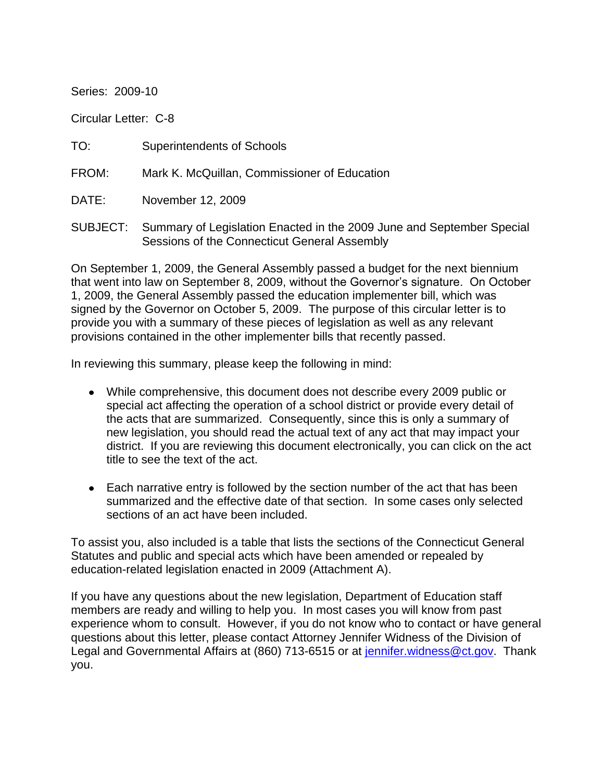Series: 2009-10

Circular Letter: C-8

TO: Superintendents of Schools

FROM: Mark K. McQuillan, Commissioner of Education

DATE: November 12, 2009

SUBJECT: Summary of Legislation Enacted in the 2009 June and September Special Sessions of the Connecticut General Assembly

On September 1, 2009, the General Assembly passed a budget for the next biennium that went into law on September 8, 2009, without the Governor's signature. On October 1, 2009, the General Assembly passed the education implementer bill, which was signed by the Governor on October 5, 2009. The purpose of this circular letter is to provide you with a summary of these pieces of legislation as well as any relevant provisions contained in the other implementer bills that recently passed.

In reviewing this summary, please keep the following in mind:

- While comprehensive, this document does not describe every 2009 public or special act affecting the operation of a school district or provide every detail of the acts that are summarized. Consequently, since this is only a summary of new legislation, you should read the actual text of any act that may impact your district. If you are reviewing this document electronically, you can click on the act title to see the text of the act.
- Each narrative entry is followed by the section number of the act that has been summarized and the effective date of that section. In some cases only selected sections of an act have been included.

To assist you, also included is a table that lists the sections of the Connecticut General Statutes and public and special acts which have been amended or repealed by education-related legislation enacted in 2009 (Attachment A).

If you have any questions about the new legislation, Department of Education staff members are ready and willing to help you. In most cases you will know from past experience whom to consult. However, if you do not know who to contact or have general questions about this letter, please contact Attorney Jennifer Widness of the Division of Legal and Governmental Affairs at (860) 713-6515 or at [jennifer.widness@ct.gov.](mailto:jennifer.widness@ct.gov) Thank you.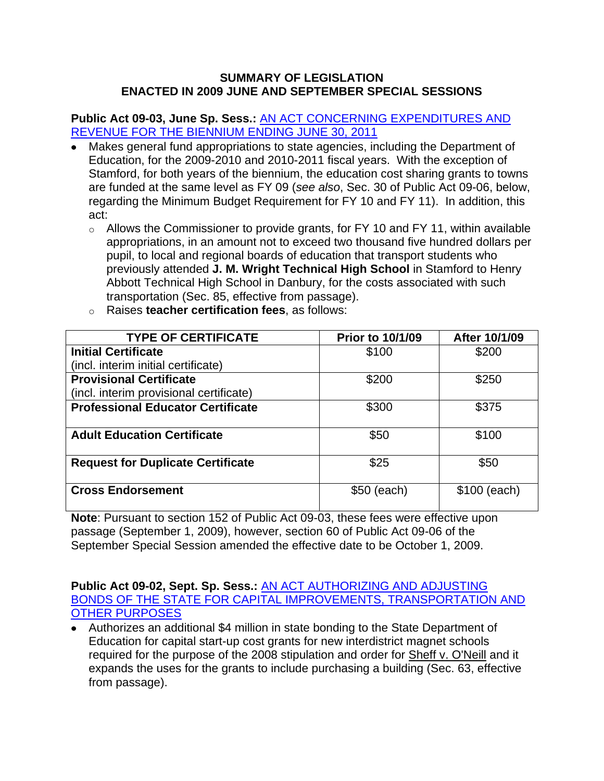#### **SUMMARY OF LEGISLATION ENACTED IN 2009 JUNE AND SEPTEMBER SPECIAL SESSIONS**

**Public Act 09-03, June Sp. Sess.:** [AN ACT CONCERNING EXPENDITURES AND](http://www.cga.ct.gov/2009/ACT/PA/2009PA-00003-R00HB-06802SS1-PA.htm)  [REVENUE FOR THE BIENNIUM ENDING JUNE 30, 2011](http://www.cga.ct.gov/2009/ACT/PA/2009PA-00003-R00HB-06802SS1-PA.htm)

- Makes general fund appropriations to state agencies, including the Department of Education, for the 2009-2010 and 2010-2011 fiscal years. With the exception of Stamford, for both years of the biennium, the education cost sharing grants to towns are funded at the same level as FY 09 (*see also*, Sec. 30 of Public Act 09-06, below, regarding the Minimum Budget Requirement for FY 10 and FY 11). In addition, this act:
	- $\circ$  Allows the Commissioner to provide grants, for FY 10 and FY 11, within available appropriations, in an amount not to exceed two thousand five hundred dollars per pupil, to local and regional boards of education that transport students who previously attended **J. M. Wright Technical High School** in Stamford to Henry Abbott Technical High School in Danbury, for the costs associated with such transportation (Sec. 85, effective from passage).

| <b>TYPE OF CERTIFICATE</b>               | <b>Prior to 10/1/09</b> | After 10/1/09 |
|------------------------------------------|-------------------------|---------------|
| <b>Initial Certificate</b>               | \$100                   | \$200         |
| (incl. interim initial certificate)      |                         |               |
| <b>Provisional Certificate</b>           | \$200                   | \$250         |
| (incl. interim provisional certificate)  |                         |               |
| <b>Professional Educator Certificate</b> | \$300                   | \$375         |
|                                          |                         |               |
| <b>Adult Education Certificate</b>       | \$50                    | \$100         |
|                                          |                         |               |
| <b>Request for Duplicate Certificate</b> | \$25                    | \$50          |
|                                          |                         |               |
| <b>Cross Endorsement</b>                 | \$50 (each)             | \$100 (each)  |
|                                          |                         |               |

o Raises **teacher certification fees**, as follows:

**Note**: Pursuant to section 152 of Public Act 09-03, these fees were effective upon passage (September 1, 2009), however, section 60 of Public Act 09-06 of the September Special Session amended the effective date to be October 1, 2009.

**Public Act 09-02, Sept. Sp. Sess.:** [AN ACT AUTHORIZING AND ADJUSTING](http://www.cga.ct.gov/2009/ACT/PA/2009PA-00002-R00HB-07004SS3-PA.htm)  [BONDS OF THE STATE FOR CAPITAL IMPROVEMENTS, TRANSPORTATION AND](http://www.cga.ct.gov/2009/ACT/PA/2009PA-00002-R00HB-07004SS3-PA.htm)  [OTHER PURPOSES](http://www.cga.ct.gov/2009/ACT/PA/2009PA-00002-R00HB-07004SS3-PA.htm)

Authorizes an additional \$4 million in state bonding to the State Department of Education for capital start-up cost grants for new interdistrict magnet schools required for the purpose of the 2008 stipulation and order for Sheff v. O'Neill and it expands the uses for the grants to include purchasing a building (Sec. 63, effective from passage).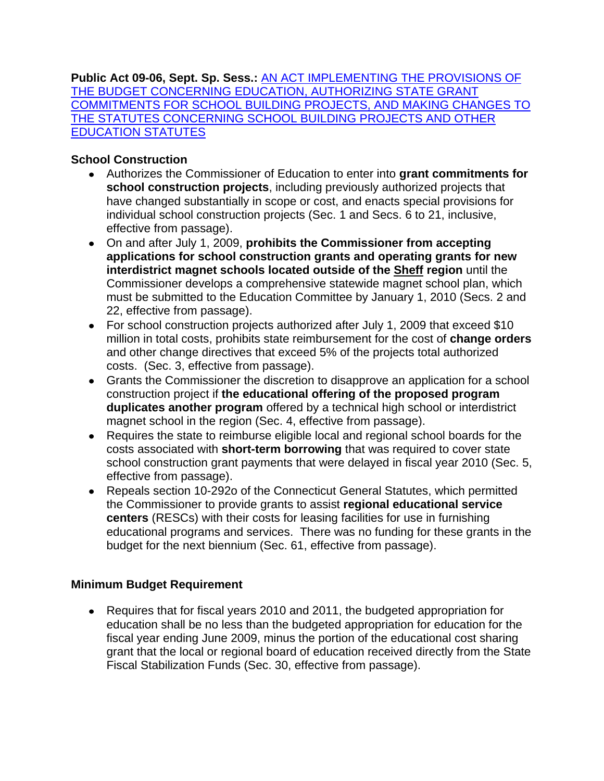**Public Act 09-06, Sept. Sp. Sess.:** [AN ACT IMPLEMENTING THE PROVISIONS OF](http://www.cga.ct.gov/2009/ACT/PA/2009PA-00006-R00SB-02053SS3-PA.htm)  [THE BUDGET CONCERNING EDUCATION, AUTHORIZING STATE GRANT](http://www.cga.ct.gov/2009/ACT/PA/2009PA-00006-R00SB-02053SS3-PA.htm)  [COMMITMENTS FOR SCHOOL BUILDING PROJECTS, AND MAKING CHANGES TO](http://www.cga.ct.gov/2009/ACT/PA/2009PA-00006-R00SB-02053SS3-PA.htm)  [THE STATUTES CONCERNING SCHOOL BUILDING PROJECTS AND OTHER](http://www.cga.ct.gov/2009/ACT/PA/2009PA-00006-R00SB-02053SS3-PA.htm)  [EDUCATION STATUTES](http://www.cga.ct.gov/2009/ACT/PA/2009PA-00006-R00SB-02053SS3-PA.htm)

# **School Construction**

- Authorizes the Commissioner of Education to enter into **grant commitments for school construction projects**, including previously authorized projects that have changed substantially in scope or cost, and enacts special provisions for individual school construction projects (Sec. 1 and Secs. 6 to 21, inclusive, effective from passage).
- On and after July 1, 2009, **prohibits the Commissioner from accepting applications for school construction grants and operating grants for new interdistrict magnet schools located outside of the Sheff region** until the Commissioner develops a comprehensive statewide magnet school plan, which must be submitted to the Education Committee by January 1, 2010 (Secs. 2 and 22, effective from passage).
- For school construction projects authorized after July 1, 2009 that exceed \$10 million in total costs, prohibits state reimbursement for the cost of **change orders** and other change directives that exceed 5% of the projects total authorized costs. (Sec. 3, effective from passage).
- Grants the Commissioner the discretion to disapprove an application for a school construction project if **the educational offering of the proposed program duplicates another program** offered by a technical high school or interdistrict magnet school in the region (Sec. 4, effective from passage).
- Requires the state to reimburse eligible local and regional school boards for the costs associated with **short-term borrowing** that was required to cover state school construction grant payments that were delayed in fiscal year 2010 (Sec. 5, effective from passage).
- Repeals section 10-292o of the Connecticut General Statutes, which permitted the Commissioner to provide grants to assist **regional educational service centers** (RESCs) with their costs for leasing facilities for use in furnishing educational programs and services. There was no funding for these grants in the budget for the next biennium (Sec. 61, effective from passage).

### **Minimum Budget Requirement**

Requires that for fiscal years 2010 and 2011, the budgeted appropriation for education shall be no less than the budgeted appropriation for education for the fiscal year ending June 2009, minus the portion of the educational cost sharing grant that the local or regional board of education received directly from the State Fiscal Stabilization Funds (Sec. 30, effective from passage).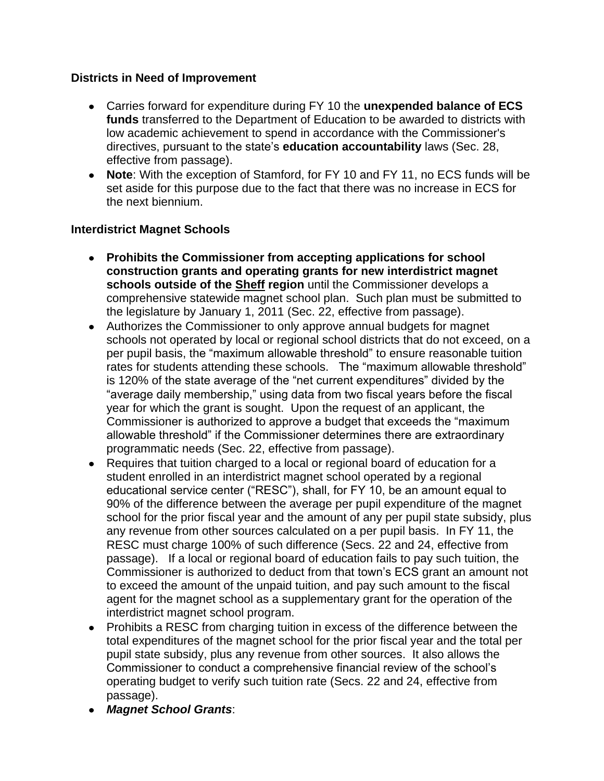### **Districts in Need of Improvement**

- Carries forward for expenditure during FY 10 the **unexpended balance of ECS funds** transferred to the Department of Education to be awarded to districts with low academic achievement to spend in accordance with the Commissioner's directives, pursuant to the state's **education accountability** laws (Sec. 28, effective from passage).
- **Note**: With the exception of Stamford, for FY 10 and FY 11, no ECS funds will be set aside for this purpose due to the fact that there was no increase in ECS for the next biennium.

#### **Interdistrict Magnet Schools**

- **Prohibits the Commissioner from accepting applications for school construction grants and operating grants for new interdistrict magnet schools outside of the Sheff region** until the Commissioner develops a comprehensive statewide magnet school plan. Such plan must be submitted to the legislature by January 1, 2011 (Sec. 22, effective from passage).
- Authorizes the Commissioner to only approve annual budgets for magnet schools not operated by local or regional school districts that do not exceed, on a per pupil basis, the "maximum allowable threshold" to ensure reasonable tuition rates for students attending these schools. The "maximum allowable threshold" is 120% of the state average of the "net current expenditures" divided by the "average daily membership," using data from two fiscal years before the fiscal year for which the grant is sought. Upon the request of an applicant, the Commissioner is authorized to approve a budget that exceeds the "maximum allowable threshold" if the Commissioner determines there are extraordinary programmatic needs (Sec. 22, effective from passage).
- Requires that tuition charged to a local or regional board of education for a student enrolled in an interdistrict magnet school operated by a regional educational service center ("RESC"), shall, for FY 10, be an amount equal to 90% of the difference between the average per pupil expenditure of the magnet school for the prior fiscal year and the amount of any per pupil state subsidy, plus any revenue from other sources calculated on a per pupil basis. In FY 11, the RESC must charge 100% of such difference (Secs. 22 and 24, effective from passage). If a local or regional board of education fails to pay such tuition, the Commissioner is authorized to deduct from that town's ECS grant an amount not to exceed the amount of the unpaid tuition, and pay such amount to the fiscal agent for the magnet school as a supplementary grant for the operation of the interdistrict magnet school program.
- Prohibits a RESC from charging tuition in excess of the difference between the total expenditures of the magnet school for the prior fiscal year and the total per pupil state subsidy, plus any revenue from other sources. It also allows the Commissioner to conduct a comprehensive financial review of the school's operating budget to verify such tuition rate (Secs. 22 and 24, effective from passage).
- *Magnet School Grants*: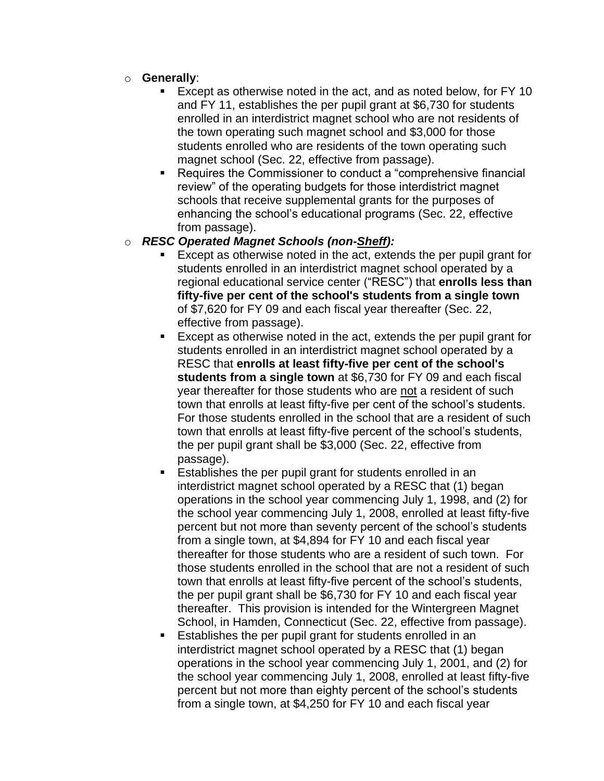- o **Generally**:
	- Except as otherwise noted in the act, and as noted below, for FY 10 and FY 11, establishes the per pupil grant at \$6,730 for students enrolled in an interdistrict magnet school who are not residents of the town operating such magnet school and \$3,000 for those students enrolled who are residents of the town operating such magnet school (Sec. 22, effective from passage).
	- Requires the Commissioner to conduct a "comprehensive financial review" of the operating budgets for those interdistrict magnet schools that receive supplemental grants for the purposes of enhancing the school's educational programs (Sec. 22, effective from passage).

#### o *RESC Operated Magnet Schools (non-Sheff):*

- Except as otherwise noted in the act, extends the per pupil grant for students enrolled in an interdistrict magnet school operated by a regional educational service center ("RESC") that **enrolls less than fifty-five per cent of the school's students from a single town** of \$7,620 for FY 09 and each fiscal year thereafter (Sec. 22, effective from passage).
- Except as otherwise noted in the act, extends the per pupil grant for students enrolled in an interdistrict magnet school operated by a RESC that **enrolls at least fifty-five per cent of the school's students from a single town** at \$6,730 for FY 09 and each fiscal year thereafter for those students who are not a resident of such town that enrolls at least fifty-five per cent of the school's students. For those students enrolled in the school that are a resident of such town that enrolls at least fifty-five percent of the school's students, the per pupil grant shall be \$3,000 (Sec. 22, effective from passage).
- Establishes the per pupil grant for students enrolled in an interdistrict magnet school operated by a RESC that (1) began operations in the school year commencing July 1, 1998, and (2) for the school year commencing July 1, 2008, enrolled at least fifty-five percent but not more than seventy percent of the school's students from a single town, at \$4,894 for FY 10 and each fiscal year thereafter for those students who are a resident of such town. For those students enrolled in the school that are not a resident of such town that enrolls at least fifty-five percent of the school's students, the per pupil grant shall be \$6,730 for FY 10 and each fiscal year thereafter. This provision is intended for the Wintergreen Magnet School, in Hamden, Connecticut (Sec. 22, effective from passage).
- Establishes the per pupil grant for students enrolled in an interdistrict magnet school operated by a RESC that (1) began operations in the school year commencing July 1, 2001, and (2) for the school year commencing July 1, 2008, enrolled at least fifty-five percent but not more than eighty percent of the school's students from a single town, at \$4,250 for FY 10 and each fiscal year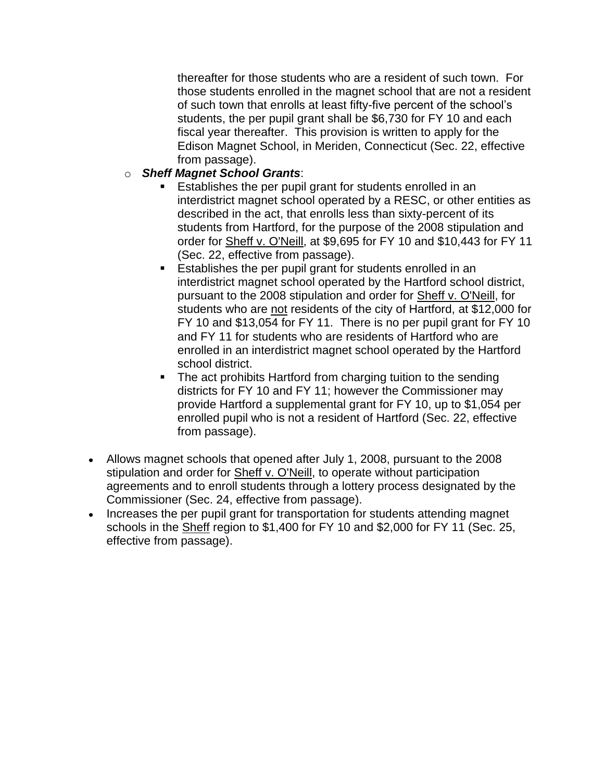thereafter for those students who are a resident of such town. For those students enrolled in the magnet school that are not a resident of such town that enrolls at least fifty-five percent of the school's students, the per pupil grant shall be \$6,730 for FY 10 and each fiscal year thereafter. This provision is written to apply for the Edison Magnet School, in Meriden, Connecticut (Sec. 22, effective from passage).

- o *Sheff Magnet School Grants*:
	- Establishes the per pupil grant for students enrolled in an interdistrict magnet school operated by a RESC, or other entities as described in the act, that enrolls less than sixty-percent of its students from Hartford, for the purpose of the 2008 stipulation and order for Sheff v. O'Neill, at \$9,695 for FY 10 and \$10,443 for FY 11 (Sec. 22, effective from passage).
	- Establishes the per pupil grant for students enrolled in an interdistrict magnet school operated by the Hartford school district, pursuant to the 2008 stipulation and order for Sheff v. O'Neill, for students who are not residents of the city of Hartford, at \$12,000 for FY 10 and \$13,054 for FY 11. There is no per pupil grant for FY 10 and FY 11 for students who are residents of Hartford who are enrolled in an interdistrict magnet school operated by the Hartford school district.
	- The act prohibits Hartford from charging tuition to the sending districts for FY 10 and FY 11; however the Commissioner may provide Hartford a supplemental grant for FY 10, up to \$1,054 per enrolled pupil who is not a resident of Hartford (Sec. 22, effective from passage).
- Allows magnet schools that opened after July 1, 2008, pursuant to the 2008 stipulation and order for Sheff v. O'Neill, to operate without participation agreements and to enroll students through a lottery process designated by the Commissioner (Sec. 24, effective from passage).
- Increases the per pupil grant for transportation for students attending magnet schools in the Sheff region to \$1,400 for FY 10 and \$2,000 for FY 11 (Sec. 25, effective from passage).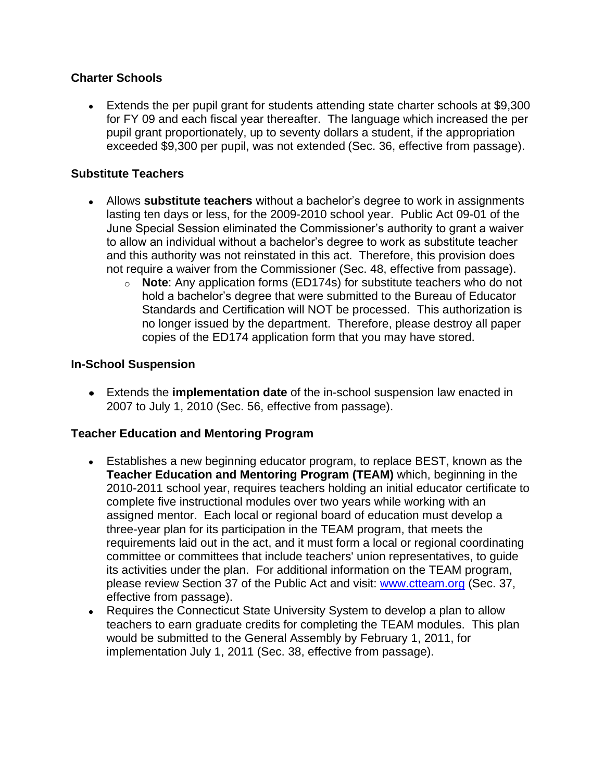### **Charter Schools**

Extends the per pupil grant for students attending state charter schools at \$9,300 for FY 09 and each fiscal year thereafter. The language which increased the per pupil grant proportionately, up to seventy dollars a student, if the appropriation exceeded \$9,300 per pupil, was not extended (Sec. 36, effective from passage).

### **Substitute Teachers**

- Allows **substitute teachers** without a bachelor's degree to work in assignments lasting ten days or less, for the 2009-2010 school year. Public Act 09-01 of the June Special Session eliminated the Commissioner's authority to grant a waiver to allow an individual without a bachelor's degree to work as substitute teacher and this authority was not reinstated in this act. Therefore, this provision does not require a waiver from the Commissioner (Sec. 48, effective from passage).
	- o **Note**: Any application forms (ED174s) for substitute teachers who do not hold a bachelor's degree that were submitted to the Bureau of Educator Standards and Certification will NOT be processed. This authorization is no longer issued by the department. Therefore, please destroy all paper copies of the ED174 application form that you may have stored.

#### **In-School Suspension**

Extends the **implementation date** of the in-school suspension law enacted in 2007 to July 1, 2010 (Sec. 56, effective from passage).

#### **Teacher Education and Mentoring Program**

- Establishes a new beginning educator program, to replace BEST, known as the **Teacher Education and Mentoring Program (TEAM)** which, beginning in the 2010-2011 school year, requires teachers holding an initial educator certificate to complete five instructional modules over two years while working with an assigned mentor. Each local or regional board of education must develop a three-year plan for its participation in the TEAM program, that meets the requirements laid out in the act, and it must form a local or regional coordinating committee or committees that include teachers' union representatives, to guide its activities under the plan. For additional information on the TEAM program, please review Section 37 of the Public Act and visit: [www.ctteam.org](http://www.ctteam.org/) (Sec. 37, effective from passage).
- Requires the Connecticut State University System to develop a plan to allow teachers to earn graduate credits for completing the TEAM modules. This plan would be submitted to the General Assembly by February 1, 2011, for implementation July 1, 2011 (Sec. 38, effective from passage).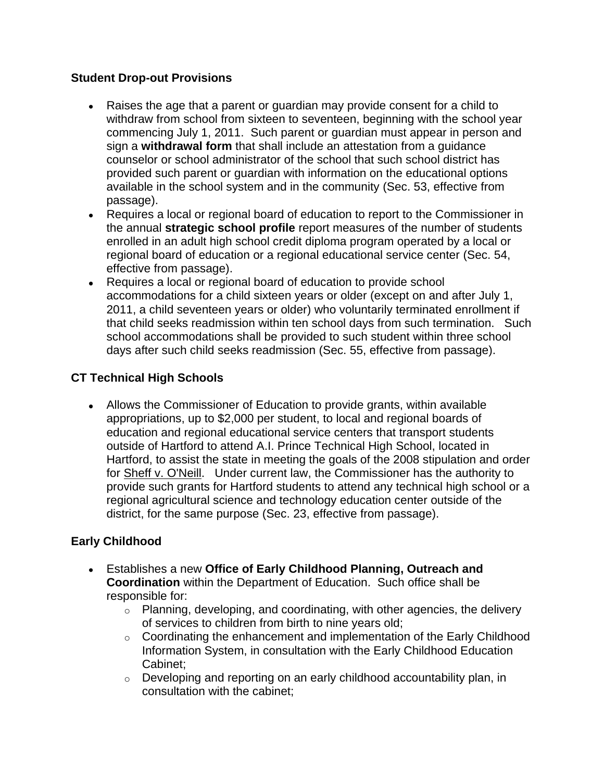### **Student Drop-out Provisions**

- Raises the age that a parent or guardian may provide consent for a child to withdraw from school from sixteen to seventeen, beginning with the school year commencing July 1, 2011. Such parent or guardian must appear in person and sign a **withdrawal form** that shall include an attestation from a guidance counselor or school administrator of the school that such school district has provided such parent or guardian with information on the educational options available in the school system and in the community (Sec. 53, effective from passage).
- Requires a local or regional board of education to report to the Commissioner in the annual **strategic school profile** report measures of the number of students enrolled in an adult high school credit diploma program operated by a local or regional board of education or a regional educational service center (Sec. 54, effective from passage).
- Requires a local or regional board of education to provide school accommodations for a child sixteen years or older (except on and after July 1, 2011, a child seventeen years or older) who voluntarily terminated enrollment if that child seeks readmission within ten school days from such termination. Such school accommodations shall be provided to such student within three school days after such child seeks readmission (Sec. 55, effective from passage).

# **CT Technical High Schools**

Allows the Commissioner of Education to provide grants, within available appropriations, up to \$2,000 per student, to local and regional boards of education and regional educational service centers that transport students outside of Hartford to attend A.I. Prince Technical High School, located in Hartford, to assist the state in meeting the goals of the 2008 stipulation and order for Sheff v. O'Neill. Under current law, the Commissioner has the authority to provide such grants for Hartford students to attend any technical high school or a regional agricultural science and technology education center outside of the district, for the same purpose (Sec. 23, effective from passage).

### **Early Childhood**

- Establishes a new **Office of Early Childhood Planning, Outreach and Coordination** within the Department of Education. Such office shall be responsible for:
	- $\circ$  Planning, developing, and coordinating, with other agencies, the delivery of services to children from birth to nine years old;
	- o Coordinating the enhancement and implementation of the Early Childhood Information System, in consultation with the Early Childhood Education Cabinet;
	- o Developing and reporting on an early childhood accountability plan, in consultation with the cabinet;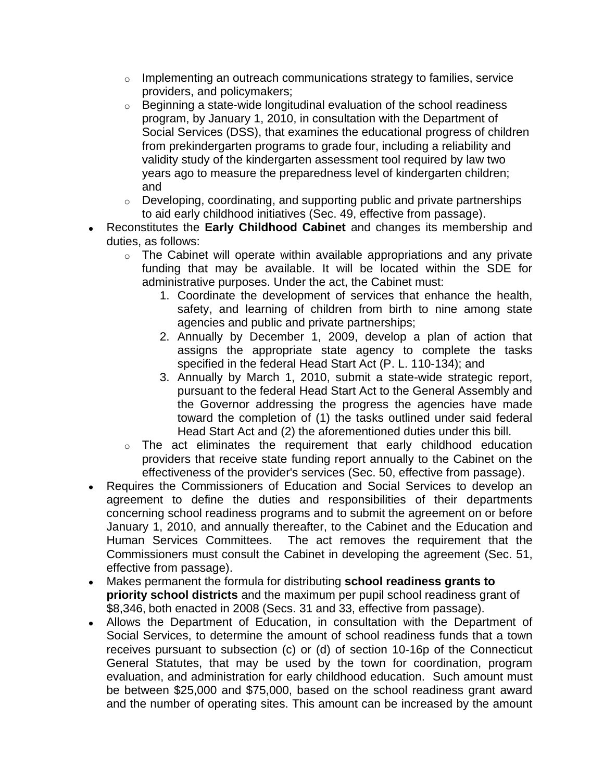- $\circ$  Implementing an outreach communications strategy to families, service providers, and policymakers;
- o Beginning a state-wide longitudinal evaluation of the school readiness program, by January 1, 2010, in consultation with the Department of Social Services (DSS), that examines the educational progress of children from prekindergarten programs to grade four, including a reliability and validity study of the kindergarten assessment tool required by law two years ago to measure the preparedness level of kindergarten children; and
- o Developing, coordinating, and supporting public and private partnerships to aid early childhood initiatives (Sec. 49, effective from passage).
- Reconstitutes the **Early Childhood Cabinet** and changes its membership and duties, as follows:
	- $\circ$  The Cabinet will operate within available appropriations and any private funding that may be available. It will be located within the SDE for administrative purposes. Under the act, the Cabinet must:
		- 1. Coordinate the development of services that enhance the health, safety, and learning of children from birth to nine among state agencies and public and private partnerships;
		- 2. Annually by December 1, 2009, develop a plan of action that assigns the appropriate state agency to complete the tasks specified in the federal Head Start Act (P. L. 110-134); and
		- 3. Annually by March 1, 2010, submit a state-wide strategic report, pursuant to the federal Head Start Act to the General Assembly and the Governor addressing the progress the agencies have made toward the completion of (1) the tasks outlined under said federal Head Start Act and (2) the aforementioned duties under this bill.
	- o The act eliminates the requirement that early childhood education providers that receive state funding report annually to the Cabinet on the effectiveness of the provider's services (Sec. 50, effective from passage).
- Requires the Commissioners of Education and Social Services to develop an agreement to define the duties and responsibilities of their departments concerning school readiness programs and to submit the agreement on or before January 1, 2010, and annually thereafter, to the Cabinet and the Education and Human Services Committees. The act removes the requirement that the Commissioners must consult the Cabinet in developing the agreement (Sec. 51, effective from passage).
- Makes permanent the formula for distributing **school readiness grants to priority school districts** and the maximum per pupil school readiness grant of \$8,346, both enacted in 2008 (Secs. 31 and 33, effective from passage).
- Allows the Department of Education, in consultation with the Department of Social Services, to determine the amount of school readiness funds that a town receives pursuant to subsection (c) or (d) of section 10-16p of the Connecticut General Statutes, that may be used by the town for coordination, program evaluation, and administration for early childhood education. Such amount must be between \$25,000 and \$75,000, based on the school readiness grant award and the number of operating sites. This amount can be increased by the amount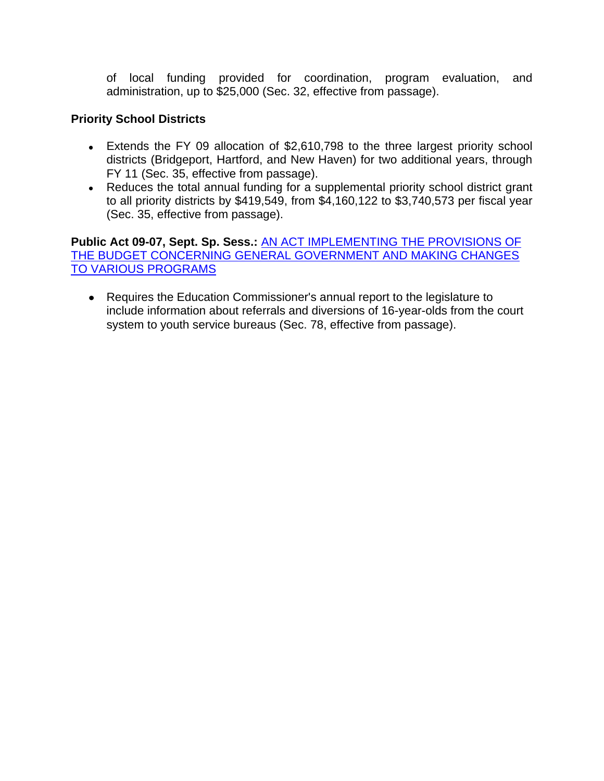of local funding provided for coordination, program evaluation, and administration, up to \$25,000 (Sec. 32, effective from passage).

## **Priority School Districts**

- Extends the FY 09 allocation of \$2,610,798 to the three largest priority school districts (Bridgeport, Hartford, and New Haven) for two additional years, through FY 11 (Sec. 35, effective from passage).
- Reduces the total annual funding for a supplemental priority school district grant to all priority districts by \$419,549, from \$4,160,122 to \$3,740,573 per fiscal year (Sec. 35, effective from passage).

**Public Act 09-07, Sept. Sp. Sess.:** [AN ACT IMPLEMENTING THE PROVISIONS OF](http://www.cga.ct.gov/2009/ACT/PA/2009PA-00007-R00HB-07007SS3-PA.htm)  [THE BUDGET CONCERNING GENERAL GOVERNMENT AND MAKING CHANGES](http://www.cga.ct.gov/2009/ACT/PA/2009PA-00007-R00HB-07007SS3-PA.htm)  [TO VARIOUS PROGRAMS](http://www.cga.ct.gov/2009/ACT/PA/2009PA-00007-R00HB-07007SS3-PA.htm)

Requires the Education Commissioner's annual report to the legislature to include information about referrals and diversions of 16-year-olds from the court system to youth service bureaus (Sec. 78, effective from passage).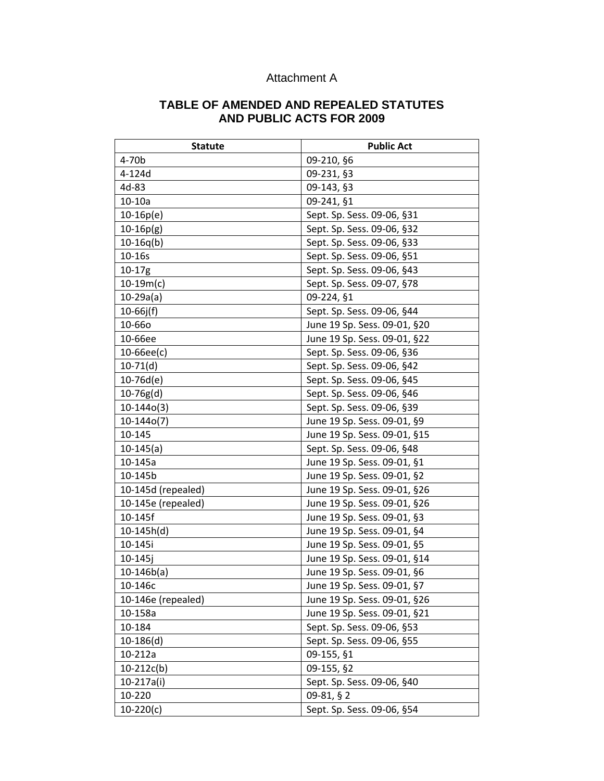# Attachment A

#### **TABLE OF AMENDED AND REPEALED STATUTES AND PUBLIC ACTS FOR 2009**

| <b>Statute</b>     | <b>Public Act</b>            |  |
|--------------------|------------------------------|--|
| 4-70b              | 09-210, §6                   |  |
| 4-124d             | 09-231, §3                   |  |
| 4d-83              | 09-143, §3                   |  |
| $10-10a$           | 09-241, §1                   |  |
| $10-16p(e)$        | Sept. Sp. Sess. 09-06, §31   |  |
| $10-16p(g)$        | Sept. Sp. Sess. 09-06, §32   |  |
| $10-16q(b)$        | Sept. Sp. Sess. 09-06, §33   |  |
| 10-16s             | Sept. Sp. Sess. 09-06, §51   |  |
| $10-17g$           | Sept. Sp. Sess. 09-06, §43   |  |
| $10-19m(c)$        | Sept. Sp. Sess. 09-07, §78   |  |
| $10-29a(a)$        | 09-224, §1                   |  |
| $10-66j(f)$        | Sept. Sp. Sess. 09-06, §44   |  |
| 10-660             | June 19 Sp. Sess. 09-01, §20 |  |
| 10-66ee            | June 19 Sp. Sess. 09-01, §22 |  |
| $10 - 66ee(c)$     | Sept. Sp. Sess. 09-06, §36   |  |
| $10-71(d)$         | Sept. Sp. Sess. 09-06, §42   |  |
| $10-76d(e)$        | Sept. Sp. Sess. 09-06, §45   |  |
| $10-76g(d)$        | Sept. Sp. Sess. 09-06, §46   |  |
| $10-144o(3)$       | Sept. Sp. Sess. 09-06, §39   |  |
| $10-144o(7)$       | June 19 Sp. Sess. 09-01, §9  |  |
| 10-145             | June 19 Sp. Sess. 09-01, §15 |  |
| $10-145(a)$        | Sept. Sp. Sess. 09-06, §48   |  |
| 10-145a            | June 19 Sp. Sess. 09-01, §1  |  |
| 10-145b            | June 19 Sp. Sess. 09-01, §2  |  |
| 10-145d (repealed) | June 19 Sp. Sess. 09-01, §26 |  |
| 10-145e (repealed) | June 19 Sp. Sess. 09-01, §26 |  |
| 10-145f            | June 19 Sp. Sess. 09-01, §3  |  |
| $10-145h(d)$       | June 19 Sp. Sess. 09-01, §4  |  |
| 10-145i            | June 19 Sp. Sess. 09-01, §5  |  |
| $10 - 145j$        | June 19 Sp. Sess. 09-01, §14 |  |
| $10-146b(a)$       | June 19 Sp. Sess. 09-01, §6  |  |
| 10-146c            | June 19 Sp. Sess. 09-01, §7  |  |
| 10-146e (repealed) | June 19 Sp. Sess. 09-01, §26 |  |
| 10-158a            | June 19 Sp. Sess. 09-01, §21 |  |
| 10-184             | Sept. Sp. Sess. 09-06, §53   |  |
| $10-186(d)$        | Sept. Sp. Sess. 09-06, §55   |  |
| 10-212a            | 09-155, §1                   |  |
| $10-212c(b)$       | 09-155, §2                   |  |
| 10-217a(i)         | Sept. Sp. Sess. 09-06, §40   |  |
| 10-220             | 09-81, § 2                   |  |
| $10-220(c)$        | Sept. Sp. Sess. 09-06, §54   |  |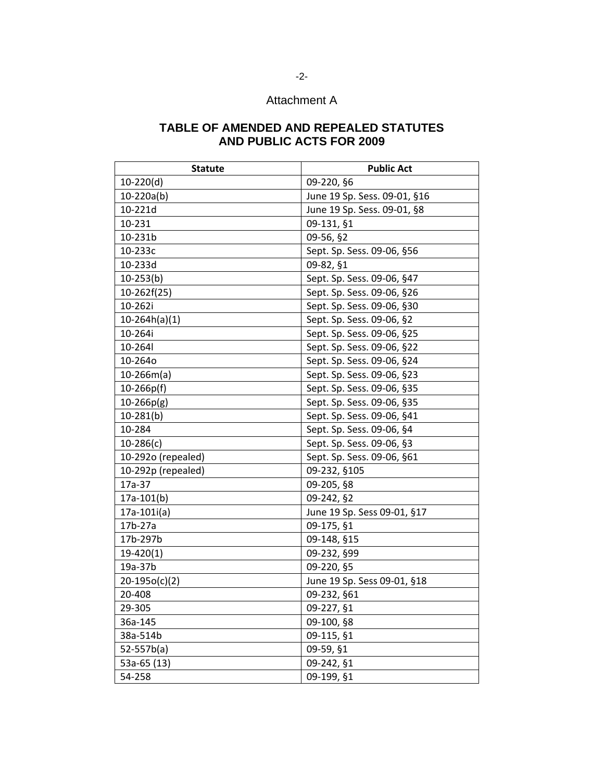# Attachment A

### **TABLE OF AMENDED AND REPEALED STATUTES AND PUBLIC ACTS FOR 2009**

| <b>Statute</b>     | <b>Public Act</b>            |  |
|--------------------|------------------------------|--|
| $10-220(d)$        | 09-220, §6                   |  |
| $10-220a(b)$       | June 19 Sp. Sess. 09-01, §16 |  |
| 10-221d            | June 19 Sp. Sess. 09-01, §8  |  |
| 10-231             | 09-131, §1                   |  |
| 10-231b            | 09-56, §2                    |  |
| 10-233c            | Sept. Sp. Sess. 09-06, §56   |  |
| 10-233d            | 09-82, §1                    |  |
| $10-253(b)$        | Sept. Sp. Sess. 09-06, §47   |  |
| 10-262f(25)        | Sept. Sp. Sess. 09-06, §26   |  |
| 10-262i            | Sept. Sp. Sess. 09-06, §30   |  |
| $10-264h(a)(1)$    | Sept. Sp. Sess. 09-06, §2    |  |
| 10-264i            | Sept. Sp. Sess. 09-06, §25   |  |
| 10-264             | Sept. Sp. Sess. 09-06, §22   |  |
| 10-264o            | Sept. Sp. Sess. 09-06, §24   |  |
| $10-266m(a)$       | Sept. Sp. Sess. 09-06, §23   |  |
| $10 - 266p(f)$     | Sept. Sp. Sess. 09-06, §35   |  |
| $10 - 266p(g)$     | Sept. Sp. Sess. 09-06, §35   |  |
| $10-281(b)$        | Sept. Sp. Sess. 09-06, §41   |  |
| 10-284             | Sept. Sp. Sess. 09-06, §4    |  |
| $10-286(c)$        | Sept. Sp. Sess. 09-06, §3    |  |
| 10-292o (repealed) | Sept. Sp. Sess. 09-06, §61   |  |
| 10-292p (repealed) | 09-232, §105                 |  |
| 17a-37             | 09-205, §8                   |  |
| $17a-101(b)$       | 09-242, §2                   |  |
| $17a-101i(a)$      | June 19 Sp. Sess 09-01, §17  |  |
| 17b-27a            | 09-175, §1                   |  |
| 17b-297b           | 09-148, §15                  |  |
| $19-420(1)$        | 09-232, §99                  |  |
| 19a-37b            | 09-220, §5                   |  |
| $20-195o(c)(2)$    | June 19 Sp. Sess 09-01, §18  |  |
| 20-408             | 09-232, §61                  |  |
| 29-305             | 09-227, §1                   |  |
| 36a-145            | 09-100, §8                   |  |
| 38a-514b           | 09-115, §1                   |  |
| $52 - 557b(a)$     | 09-59, §1                    |  |
| 53a-65 (13)        | 09-242, §1                   |  |
| 54-258             | 09-199, §1                   |  |